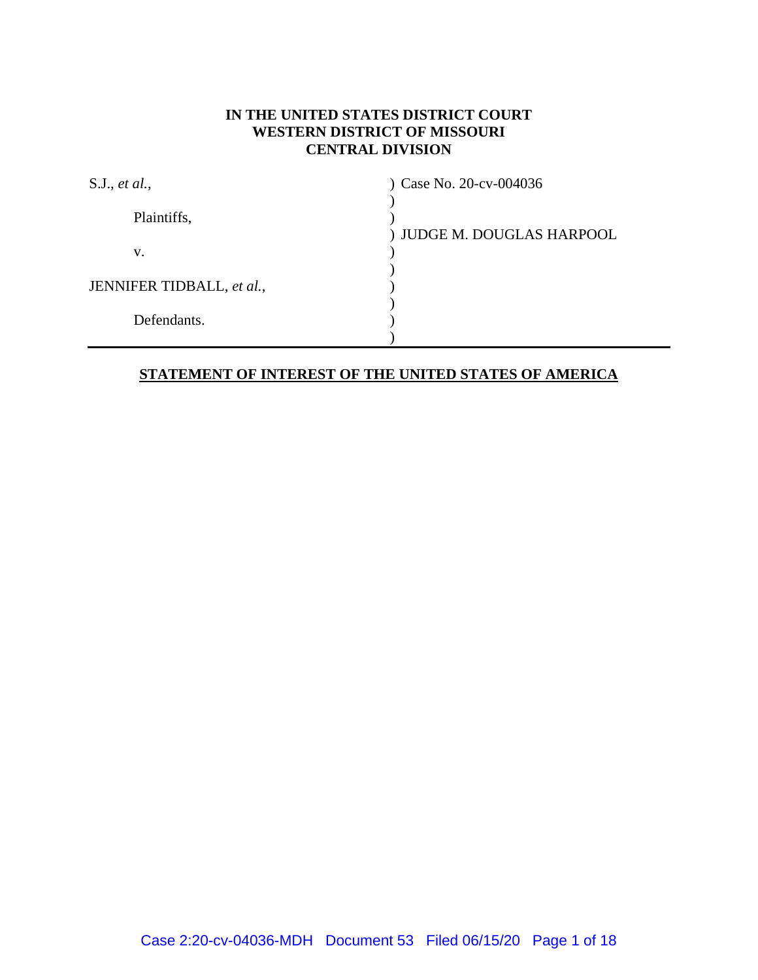## **IN THE UNITED STATES DISTRICT COURT WESTERN DISTRICT OF MISSOURI CENTRAL DIVISION**

| S.J., et al.,             | Case No. 20-cv-004036      |
|---------------------------|----------------------------|
| Plaintiffs,               | ) JUDGE M. DOUGLAS HARPOOL |
| v.                        |                            |
| JENNIFER TIDBALL, et al., |                            |
| Defendants.               |                            |
|                           |                            |

## **STATEMENT OF INTEREST OF THE UNITED STATES OF AMERICA**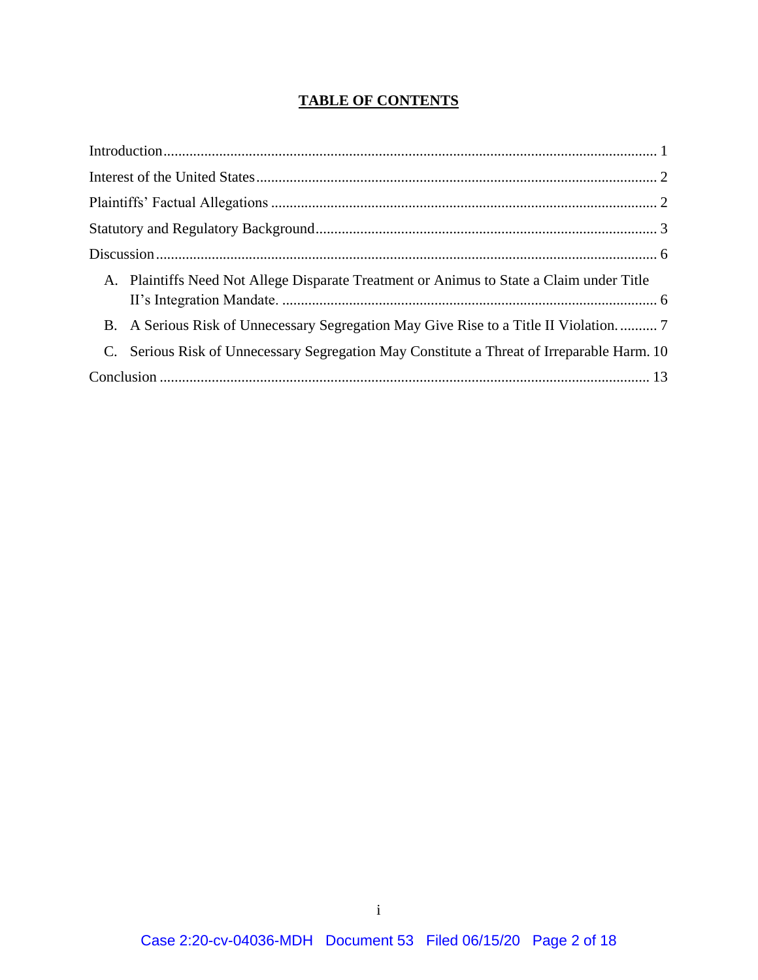# **TABLE OF CONTENTS**

| A. Plaintiffs Need Not Allege Disparate Treatment or Animus to State a Claim under Title   |  |
|--------------------------------------------------------------------------------------------|--|
| B. A Serious Risk of Unnecessary Segregation May Give Rise to a Title II Violation 7       |  |
| C. Serious Risk of Unnecessary Segregation May Constitute a Threat of Irreparable Harm. 10 |  |
|                                                                                            |  |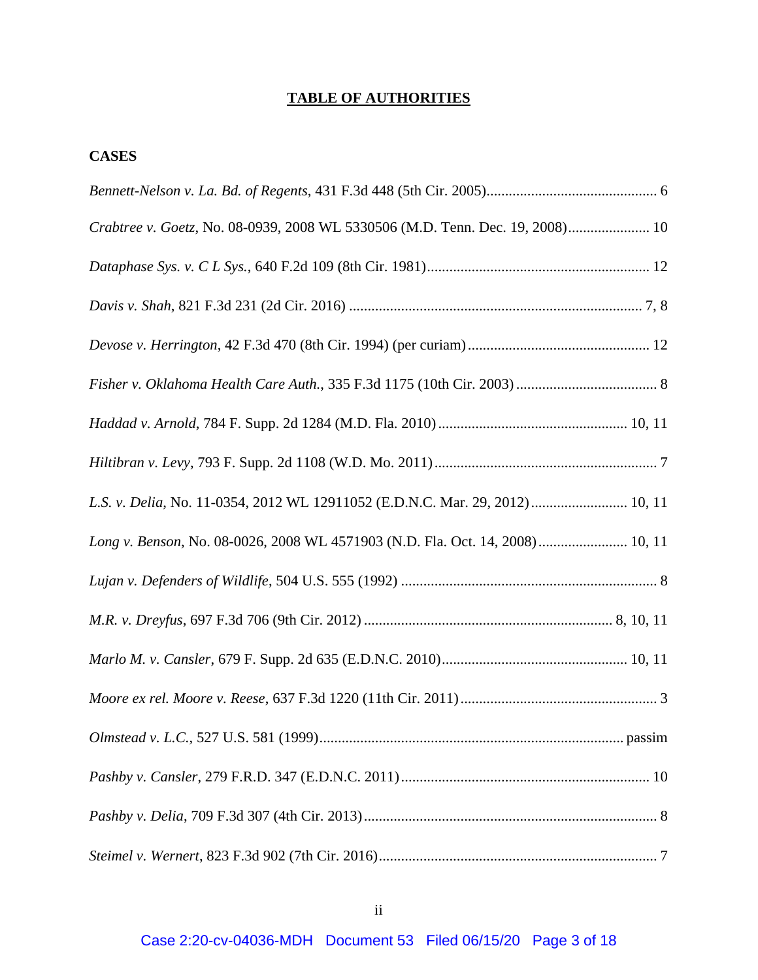# **TABLE OF AUTHORITIES**

## **CASES**

| Crabtree v. Goetz, No. 08-0939, 2008 WL 5330506 (M.D. Tenn. Dec. 19, 2008) 10 |
|-------------------------------------------------------------------------------|
|                                                                               |
|                                                                               |
|                                                                               |
|                                                                               |
|                                                                               |
|                                                                               |
| L.S. v. Delia, No. 11-0354, 2012 WL 12911052 (E.D.N.C. Mar. 29, 2012) 10, 11  |
| Long v. Benson, No. 08-0026, 2008 WL 4571903 (N.D. Fla. Oct. 14, 2008) 10, 11 |
|                                                                               |
|                                                                               |
|                                                                               |
|                                                                               |
|                                                                               |
|                                                                               |
|                                                                               |
|                                                                               |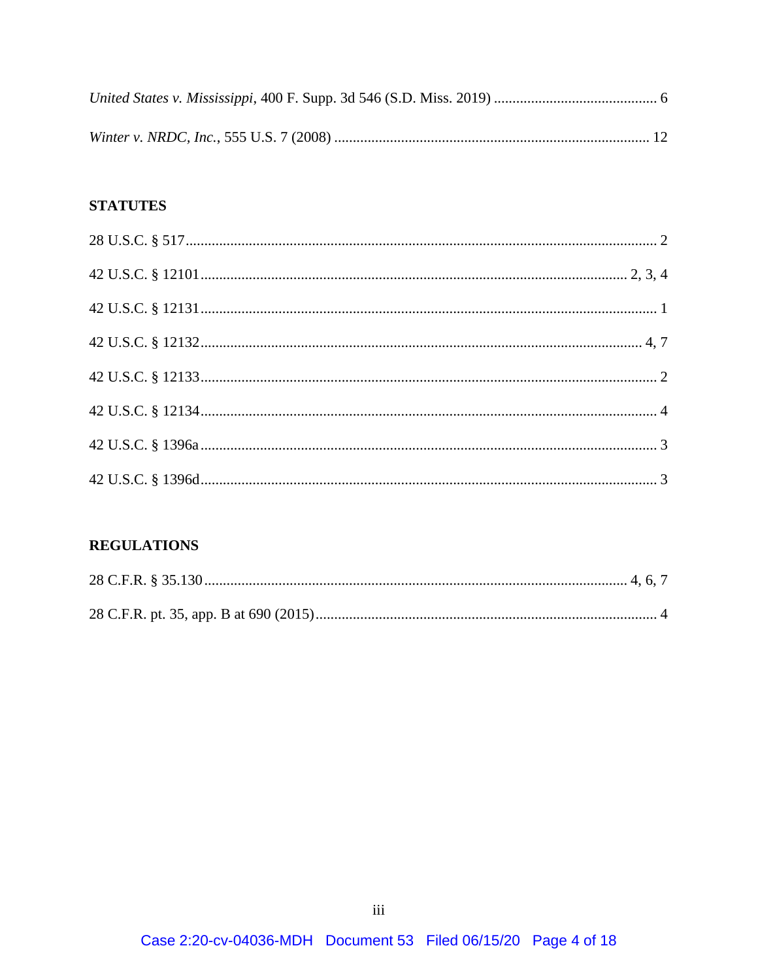# **STATUTES**

# **REGULATIONS**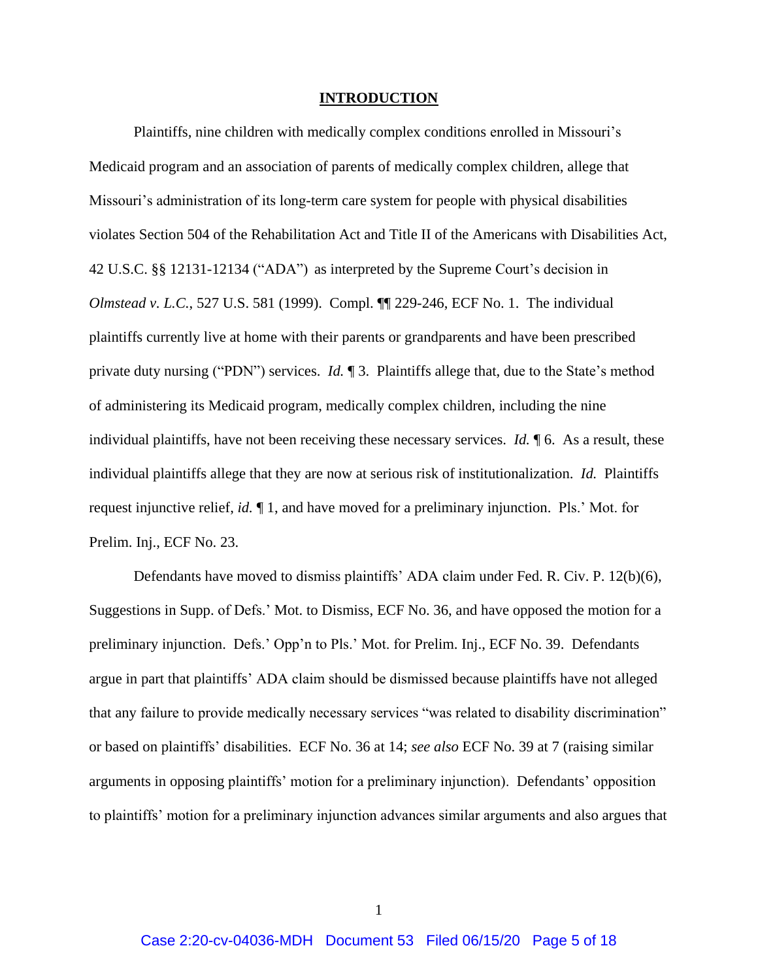#### **INTRODUCTION**

<span id="page-4-0"></span>Plaintiffs, nine children with medically complex conditions enrolled in Missouri's Medicaid program and an association of parents of medically complex children, allege that Missouri's administration of its long-term care system for people with physical disabilities violates Section 504 of the Rehabilitation Act and Title II of the Americans with Disabilities Act, 42 U.S.C. §§ 12131-12134 ("ADA") as interpreted by the Supreme Court's decision in *Olmstead v. L.C.*, 527 U.S. 581 (1999). Compl. ¶¶ 229-246, ECF No. 1. The individual plaintiffs currently live at home with their parents or grandparents and have been prescribed private duty nursing ("PDN") services. *Id.* ¶ 3. Plaintiffs allege that, due to the State's method of administering its Medicaid program, medically complex children, including the nine individual plaintiffs, have not been receiving these necessary services. *Id.* ¶ 6. As a result, these individual plaintiffs allege that they are now at serious risk of institutionalization. *Id.* Plaintiffs request injunctive relief, *id.* ¶ 1, and have moved for a preliminary injunction. Pls.' Mot. for Prelim. Inj., ECF No. 23.

Defendants have moved to dismiss plaintiffs' ADA claim under Fed. R. Civ. P. 12(b)(6), Suggestions in Supp. of Defs.' Mot. to Dismiss, ECF No. 36, and have opposed the motion for a preliminary injunction. Defs.' Opp'n to Pls.' Mot. for Prelim. Inj., ECF No. 39. Defendants argue in part that plaintiffs' ADA claim should be dismissed because plaintiffs have not alleged that any failure to provide medically necessary services "was related to disability discrimination" or based on plaintiffs' disabilities. ECF No. 36 at 14; *see also* ECF No. 39 at 7 (raising similar arguments in opposing plaintiffs' motion for a preliminary injunction). Defendants' opposition to plaintiffs' motion for a preliminary injunction advances similar arguments and also argues that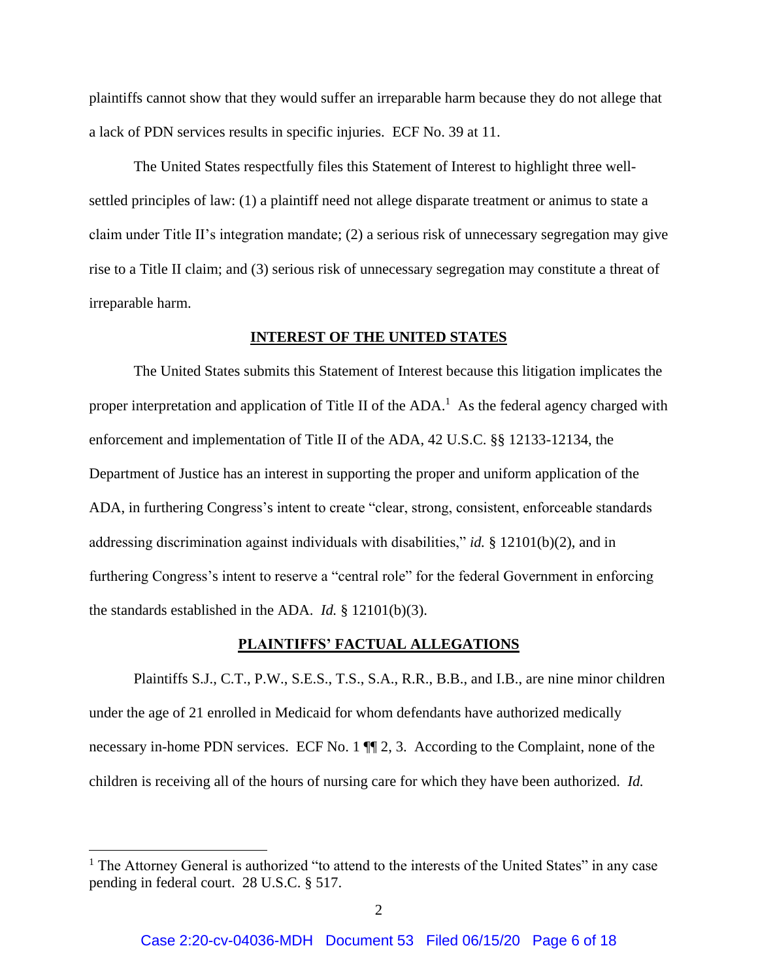plaintiffs cannot show that they would suffer an irreparable harm because they do not allege that a lack of PDN services results in specific injuries. ECF No. 39 at 11.

The United States respectfully files this Statement of Interest to highlight three wellsettled principles of law: (1) a plaintiff need not allege disparate treatment or animus to state a claim under Title II's integration mandate; (2) a serious risk of unnecessary segregation may give rise to a Title II claim; and (3) serious risk of unnecessary segregation may constitute a threat of irreparable harm.

#### **INTEREST OF THE UNITED STATES**

<span id="page-5-0"></span>The United States submits this Statement of Interest because this litigation implicates the proper interpretation and application of Title II of the  $ADA$ .<sup>1</sup> As the federal agency charged with enforcement and implementation of Title II of the ADA, 42 U.S.C. §§ 12133-12134, the Department of Justice has an interest in supporting the proper and uniform application of the ADA, in furthering Congress's intent to create "clear, strong, consistent, enforceable standards addressing discrimination against individuals with disabilities," *id.* § 12101(b)(2), and in furthering Congress's intent to reserve a "central role" for the federal Government in enforcing the standards established in the ADA. *Id.* § 12101(b)(3).

#### **PLAINTIFFS' FACTUAL ALLEGATIONS**

<span id="page-5-1"></span>Plaintiffs S.J., C.T., P.W., S.E.S., T.S., S.A., R.R., B.B., and I.B., are nine minor children under the age of 21 enrolled in Medicaid for whom defendants have authorized medically necessary in-home PDN services. ECF No. 1  $\P$  2, 3. According to the Complaint, none of the children is receiving all of the hours of nursing care for which they have been authorized. *Id.*

 $\overline{a}$ 

<sup>&</sup>lt;sup>1</sup> The Attorney General is authorized "to attend to the interests of the United States" in any case pending in federal court. 28 U.S.C. § 517.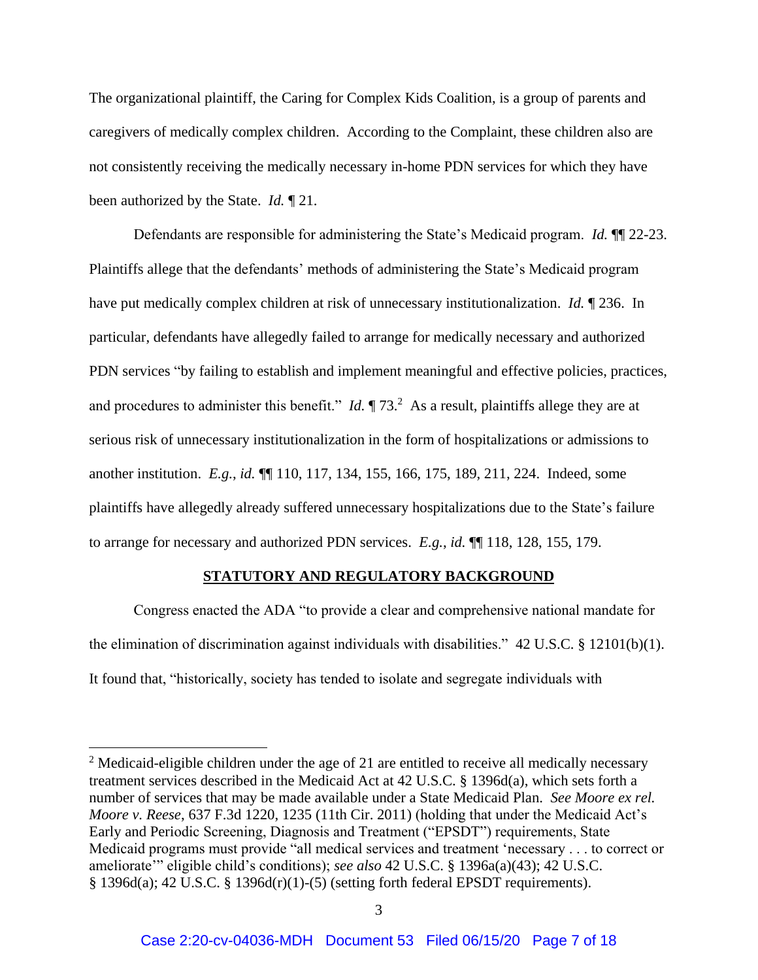The organizational plaintiff, the Caring for Complex Kids Coalition, is a group of parents and caregivers of medically complex children. According to the Complaint, these children also are not consistently receiving the medically necessary in-home PDN services for which they have been authorized by the State. *Id.* ¶ 21.

Defendants are responsible for administering the State's Medicaid program. *Id.* ¶¶ 22-23. Plaintiffs allege that the defendants' methods of administering the State's Medicaid program have put medically complex children at risk of unnecessary institutionalization. *Id.* ¶ 236. In particular, defendants have allegedly failed to arrange for medically necessary and authorized PDN services "by failing to establish and implement meaningful and effective policies, practices, and procedures to administer this benefit." *Id.*  $\P$  73.<sup>2</sup> As a result, plaintiffs allege they are at serious risk of unnecessary institutionalization in the form of hospitalizations or admissions to another institution. *E.g.*, *id.* ¶¶ 110, 117, 134, 155, 166, 175, 189, 211, 224. Indeed, some plaintiffs have allegedly already suffered unnecessary hospitalizations due to the State's failure to arrange for necessary and authorized PDN services. *E.g.*, *id.* ¶¶ 118, 128, 155, 179.

#### **STATUTORY AND REGULATORY BACKGROUND**

<span id="page-6-0"></span>Congress enacted the ADA "to provide a clear and comprehensive national mandate for the elimination of discrimination against individuals with disabilities." 42 U.S.C. § 12101(b)(1). It found that, "historically, society has tended to isolate and segregate individuals with

 $\overline{a}$ 

 $2$  Medicaid-eligible children under the age of 21 are entitled to receive all medically necessary treatment services described in the Medicaid Act at 42 U.S.C. § 1396d(a), which sets forth a number of services that may be made available under a State Medicaid Plan. *See Moore ex rel. Moore v. Reese*, 637 F.3d 1220, 1235 (11th Cir. 2011) (holding that under the Medicaid Act's Early and Periodic Screening, Diagnosis and Treatment ("EPSDT") requirements, State Medicaid programs must provide "all medical services and treatment 'necessary . . . to correct or ameliorate'" eligible child's conditions); *see also* 42 U.S.C. § 1396a(a)(43); 42 U.S.C. § 1396d(a); 42 U.S.C. § 1396d(r)(1)-(5) (setting forth federal EPSDT requirements).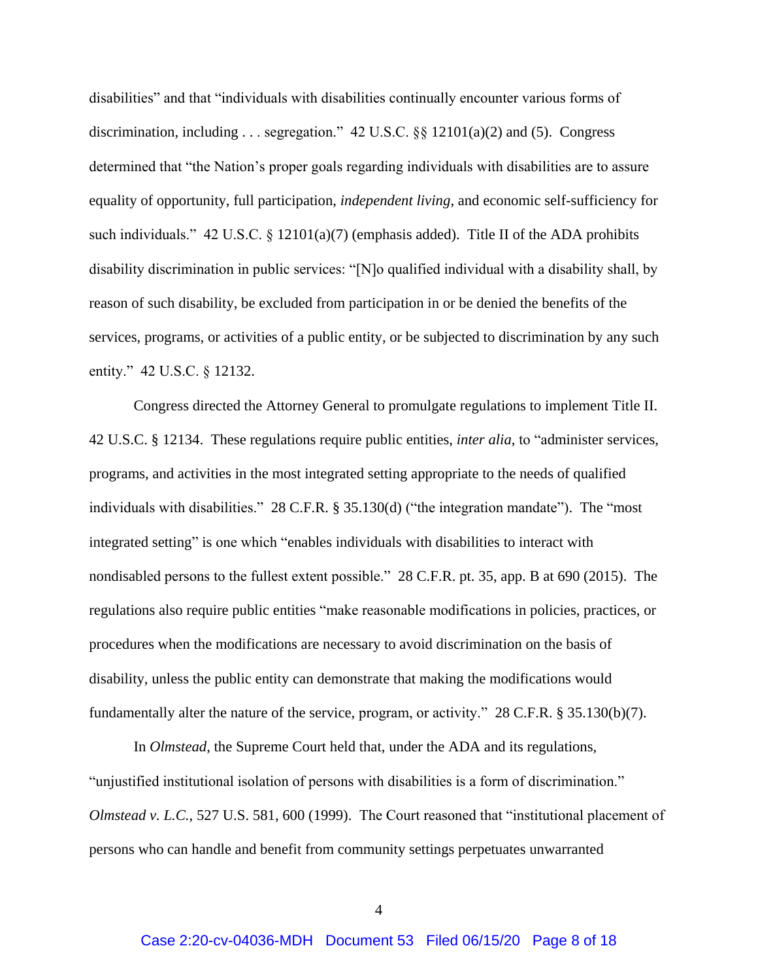disabilities" and that "individuals with disabilities continually encounter various forms of discrimination, including . . . segregation."  $42 \text{ U.S.C.}$   $\S_{\text{S}}$  12101(a)(2) and (5). Congress determined that "the Nation's proper goals regarding individuals with disabilities are to assure equality of opportunity, full participation, *independent living*, and economic self-sufficiency for such individuals." 42 U.S.C. § 12101(a)(7) (emphasis added). Title II of the ADA prohibits disability discrimination in public services: "[N]o qualified individual with a disability shall, by reason of such disability, be excluded from participation in or be denied the benefits of the services, programs, or activities of a public entity, or be subjected to discrimination by any such entity." 42 U.S.C. § 12132.

Congress directed the Attorney General to promulgate regulations to implement Title II. 42 U.S.C. § 12134. These regulations require public entities, *inter alia*, to "administer services, programs, and activities in the most integrated setting appropriate to the needs of qualified individuals with disabilities." 28 C.F.R. § 35.130(d) ("the integration mandate"). The "most integrated setting" is one which "enables individuals with disabilities to interact with nondisabled persons to the fullest extent possible." 28 C.F.R. pt. 35, app. B at 690 (2015). The regulations also require public entities "make reasonable modifications in policies, practices, or procedures when the modifications are necessary to avoid discrimination on the basis of disability, unless the public entity can demonstrate that making the modifications would fundamentally alter the nature of the service, program, or activity." 28 C.F.R. § 35.130(b)(7).

In *Olmstead*, the Supreme Court held that, under the ADA and its regulations, "unjustified institutional isolation of persons with disabilities is a form of discrimination." *Olmstead v. L.C.*, 527 U.S. 581, 600 (1999). The Court reasoned that "institutional placement of persons who can handle and benefit from community settings perpetuates unwarranted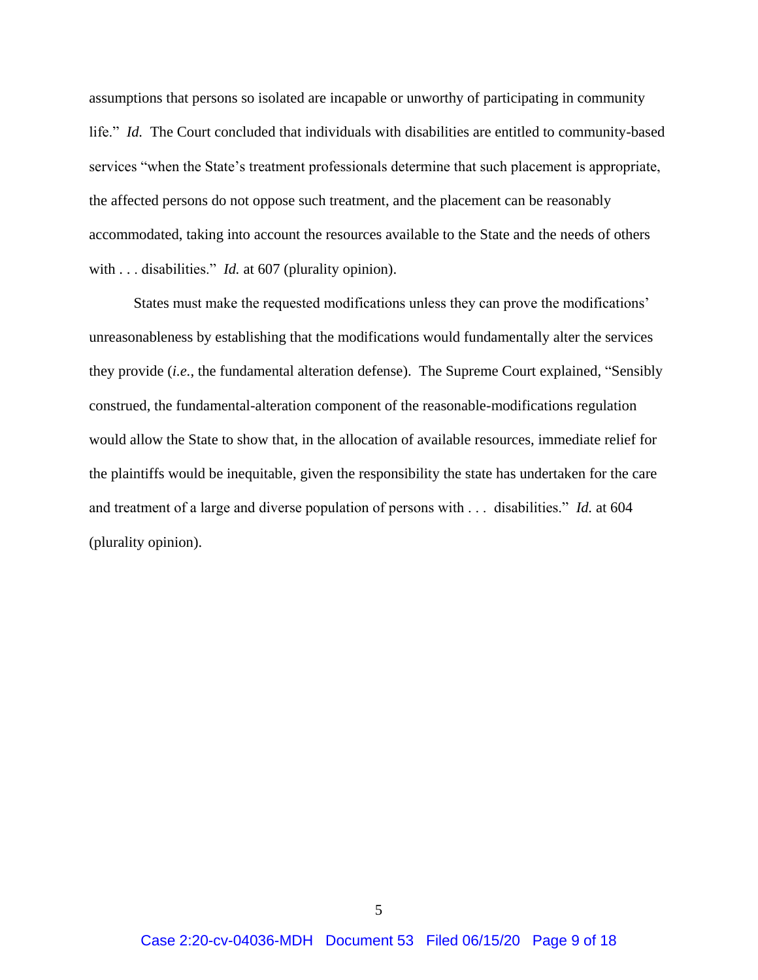assumptions that persons so isolated are incapable or unworthy of participating in community life." *Id.* The Court concluded that individuals with disabilities are entitled to community-based services "when the State's treatment professionals determine that such placement is appropriate, the affected persons do not oppose such treatment, and the placement can be reasonably accommodated, taking into account the resources available to the State and the needs of others with . . . disabilities." *Id.* at 607 (plurality opinion).

States must make the requested modifications unless they can prove the modifications' unreasonableness by establishing that the modifications would fundamentally alter the services they provide (*i.e.*, the fundamental alteration defense). The Supreme Court explained, "Sensibly construed, the fundamental-alteration component of the reasonable-modifications regulation would allow the State to show that, in the allocation of available resources, immediate relief for the plaintiffs would be inequitable, given the responsibility the state has undertaken for the care and treatment of a large and diverse population of persons with . . . disabilities." *Id.* at 604 (plurality opinion).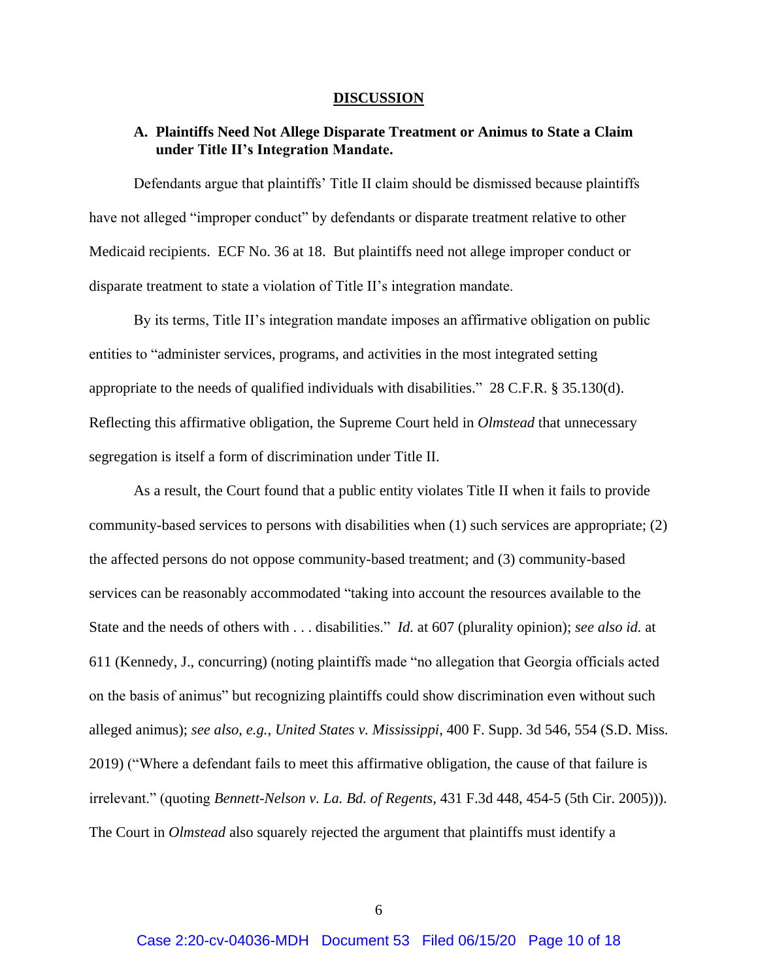#### **DISCUSSION**

### <span id="page-9-1"></span><span id="page-9-0"></span>**A. Plaintiffs Need Not Allege Disparate Treatment or Animus to State a Claim under Title II's Integration Mandate.**

Defendants argue that plaintiffs' Title II claim should be dismissed because plaintiffs have not alleged "improper conduct" by defendants or disparate treatment relative to other Medicaid recipients. ECF No. 36 at 18. But plaintiffs need not allege improper conduct or disparate treatment to state a violation of Title II's integration mandate.

By its terms, Title II's integration mandate imposes an affirmative obligation on public entities to "administer services, programs, and activities in the most integrated setting appropriate to the needs of qualified individuals with disabilities." 28 C.F.R. § 35.130(d). Reflecting this affirmative obligation, the Supreme Court held in *Olmstead* that unnecessary segregation is itself a form of discrimination under Title II.

As a result, the Court found that a public entity violates Title II when it fails to provide community-based services to persons with disabilities when (1) such services are appropriate; (2) the affected persons do not oppose community-based treatment; and (3) community-based services can be reasonably accommodated "taking into account the resources available to the State and the needs of others with . . . disabilities." *Id.* at 607 (plurality opinion); *see also id.* at 611 (Kennedy, J., concurring) (noting plaintiffs made "no allegation that Georgia officials acted on the basis of animus" but recognizing plaintiffs could show discrimination even without such alleged animus); *see also*, *e.g.*, *United States v. Mississippi*, 400 F. Supp. 3d 546, 554 (S.D. Miss. 2019) ("Where a defendant fails to meet this affirmative obligation, the cause of that failure is irrelevant." (quoting *Bennett-Nelson v. La. Bd. of Regents*, 431 F.3d 448, 454-5 (5th Cir. 2005))). The Court in *Olmstead* also squarely rejected the argument that plaintiffs must identify a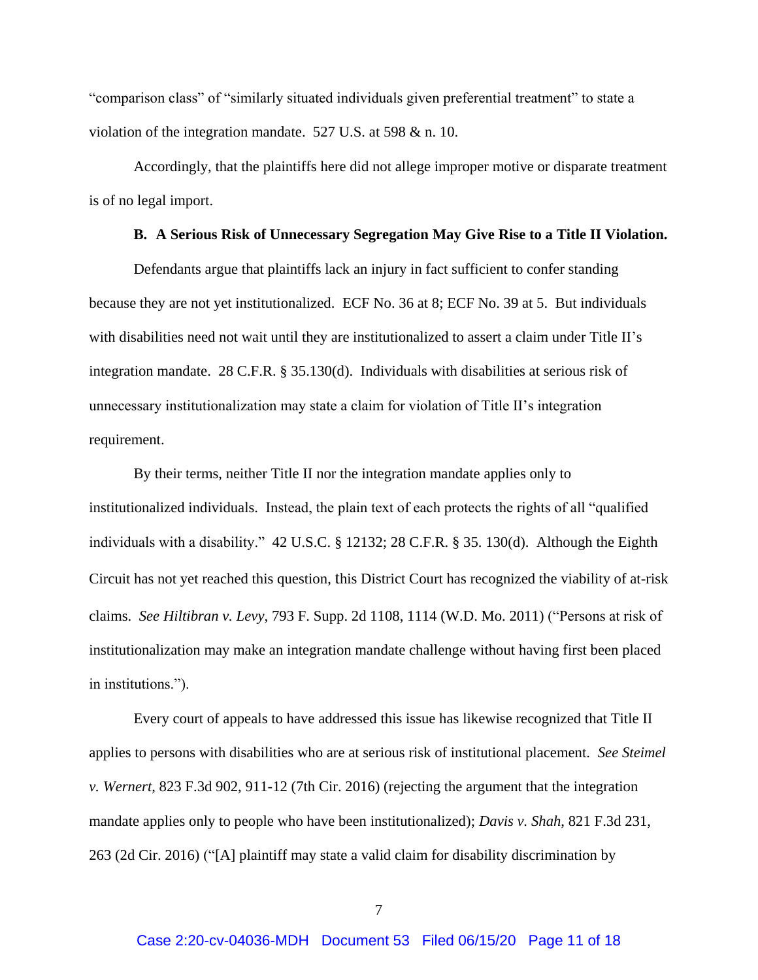"comparison class" of "similarly situated individuals given preferential treatment" to state a violation of the integration mandate. 527 U.S. at 598 & n. 10.

Accordingly, that the plaintiffs here did not allege improper motive or disparate treatment is of no legal import.

#### **B. A Serious Risk of Unnecessary Segregation May Give Rise to a Title II Violation.**

<span id="page-10-0"></span>Defendants argue that plaintiffs lack an injury in fact sufficient to confer standing because they are not yet institutionalized. ECF No. 36 at 8; ECF No. 39 at 5. But individuals with disabilities need not wait until they are institutionalized to assert a claim under Title II's integration mandate. 28 C.F.R. § 35.130(d). Individuals with disabilities at serious risk of unnecessary institutionalization may state a claim for violation of Title II's integration requirement.

By their terms, neither Title II nor the integration mandate applies only to institutionalized individuals. Instead, the plain text of each protects the rights of all "qualified individuals with a disability." 42 U.S.C. § 12132; 28 C.F.R. § 35. 130(d). Although the Eighth Circuit has not yet reached this question, this District Court has recognized the viability of at-risk claims. *See Hiltibran v. Levy*, 793 F. Supp. 2d 1108, 1114 (W.D. Mo. 2011) ("Persons at risk of institutionalization may make an integration mandate challenge without having first been placed in institutions.").

Every court of appeals to have addressed this issue has likewise recognized that Title II applies to persons with disabilities who are at serious risk of institutional placement. *See Steimel v. Wernert*, 823 F.3d 902, 911-12 (7th Cir. 2016) (rejecting the argument that the integration mandate applies only to people who have been institutionalized); *Davis v. Shah*, 821 F.3d 231, 263 (2d Cir. 2016) ("[A] plaintiff may state a valid claim for disability discrimination by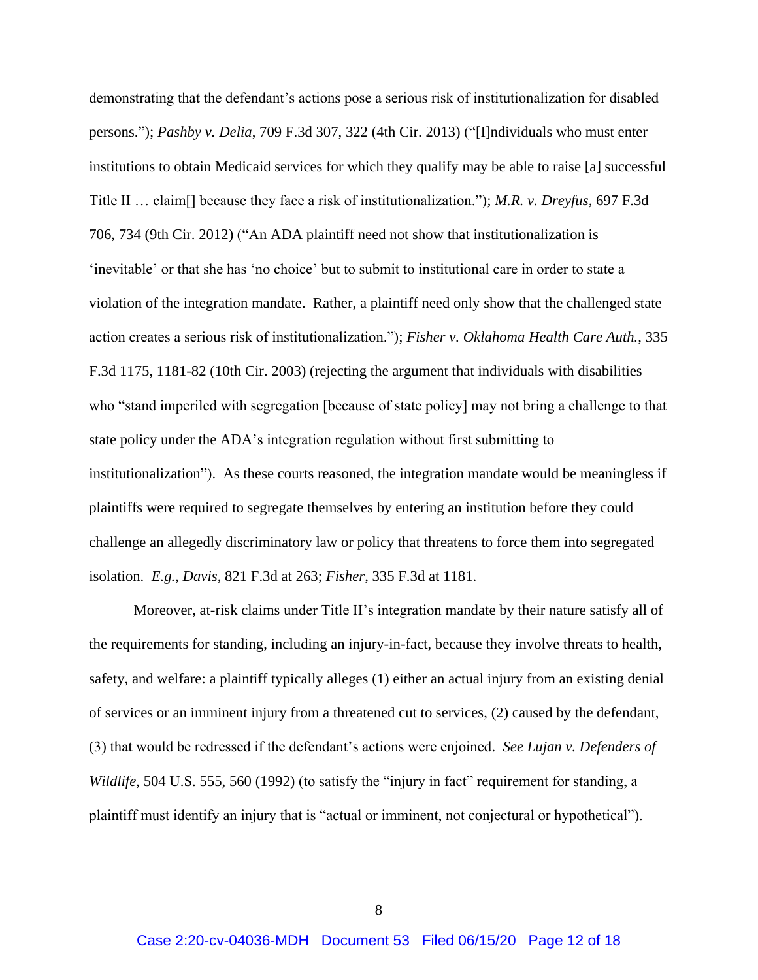demonstrating that the defendant's actions pose a serious risk of institutionalization for disabled persons."); *Pashby v. Delia*, 709 F.3d 307, 322 (4th Cir. 2013) ("[I]ndividuals who must enter institutions to obtain Medicaid services for which they qualify may be able to raise [a] successful Title II … claim[] because they face a risk of institutionalization."); *M.R. v. Dreyfus*, 697 F.3d 706, 734 (9th Cir. 2012) ("An ADA plaintiff need not show that institutionalization is 'inevitable' or that she has 'no choice' but to submit to institutional care in order to state a violation of the integration mandate. Rather, a plaintiff need only show that the challenged state action creates a serious risk of institutionalization."); *Fisher v. Oklahoma Health Care Auth.*, 335 F.3d 1175, 1181-82 (10th Cir. 2003) (rejecting the argument that individuals with disabilities who "stand imperiled with segregation [because of state policy] may not bring a challenge to that state policy under the ADA's integration regulation without first submitting to institutionalization"). As these courts reasoned, the integration mandate would be meaningless if plaintiffs were required to segregate themselves by entering an institution before they could challenge an allegedly discriminatory law or policy that threatens to force them into segregated isolation. *E.g.*, *Davis*, 821 F.3d at 263; *Fisher*, 335 F.3d at 1181.

Moreover, at-risk claims under Title II's integration mandate by their nature satisfy all of the requirements for standing, including an injury-in-fact, because they involve threats to health, safety, and welfare: a plaintiff typically alleges (1) either an actual injury from an existing denial of services or an imminent injury from a threatened cut to services, (2) caused by the defendant, (3) that would be redressed if the defendant's actions were enjoined. *See Lujan v. Defenders of Wildlife*, 504 U.S. 555, 560 (1992) (to satisfy the "injury in fact" requirement for standing, a plaintiff must identify an injury that is "actual or imminent, not conjectural or hypothetical").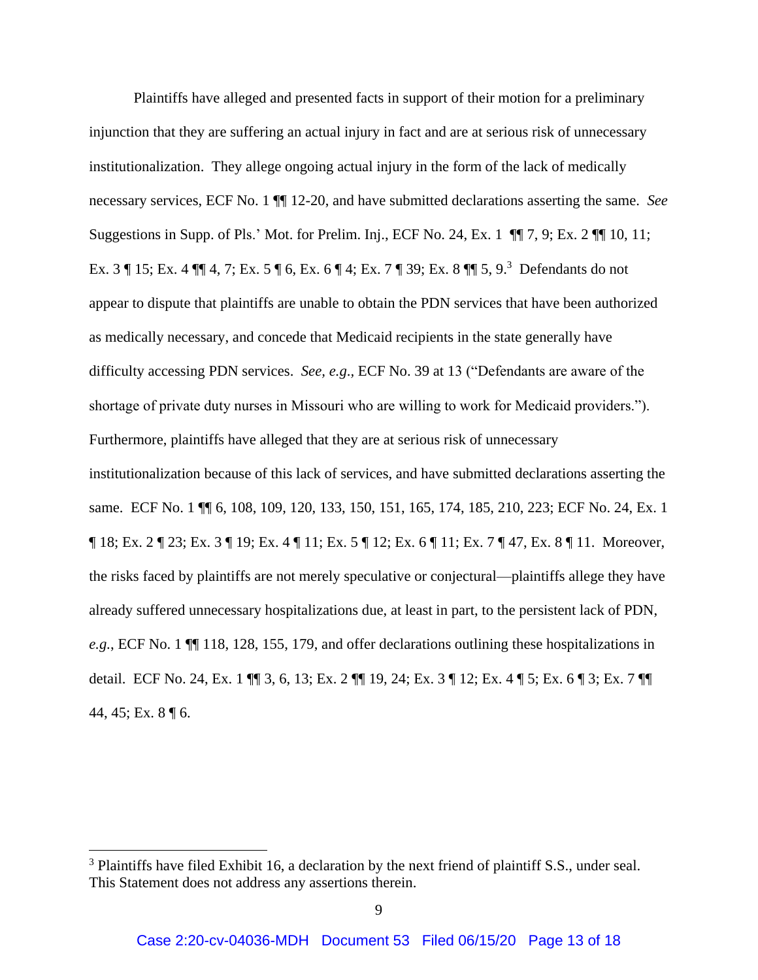Plaintiffs have alleged and presented facts in support of their motion for a preliminary injunction that they are suffering an actual injury in fact and are at serious risk of unnecessary institutionalization. They allege ongoing actual injury in the form of the lack of medically necessary services, ECF No. 1 ¶¶ 12-20, and have submitted declarations asserting the same. *See* Suggestions in Supp. of Pls.' Mot. for Prelim. Inj., ECF No. 24, Ex. 1 ¶¶ 7, 9; Ex. 2 ¶¶ 10, 11; Ex. 3 ¶ 15; Ex. 4 ¶¶ 4, 7; Ex. 5 ¶ 6, Ex. 6 ¶ 4; Ex. 7 ¶ 39; Ex. 8 ¶¶ 5, 9.<sup>3</sup> Defendants do not appear to dispute that plaintiffs are unable to obtain the PDN services that have been authorized as medically necessary, and concede that Medicaid recipients in the state generally have difficulty accessing PDN services. *See, e.g*.*,* ECF No. 39 at 13 ("Defendants are aware of the shortage of private duty nurses in Missouri who are willing to work for Medicaid providers."). Furthermore, plaintiffs have alleged that they are at serious risk of unnecessary institutionalization because of this lack of services, and have submitted declarations asserting the same. ECF No. 1  $\P$  6, 108, 109, 120, 133, 150, 151, 165, 174, 185, 210, 223; ECF No. 24, Ex. 1 ¶ 18; Ex. 2 ¶ 23; Ex. 3 ¶ 19; Ex. 4 ¶ 11; Ex. 5 ¶ 12; Ex. 6 ¶ 11; Ex. 7 ¶ 47, Ex. 8 ¶ 11. Moreover, the risks faced by plaintiffs are not merely speculative or conjectural—plaintiffs allege they have already suffered unnecessary hospitalizations due, at least in part, to the persistent lack of PDN, *e.g.*, ECF No. 1 ¶¶ 118, 128, 155, 179, and offer declarations outlining these hospitalizations in detail. ECF No. 24, Ex. 1 ¶¶ 3, 6, 13; Ex. 2 ¶¶ 19, 24; Ex. 3 ¶ 12; Ex. 4 ¶ 5; Ex. 6 ¶ 3; Ex. 7 ¶¶ 44, 45; Ex. 8 ¶ 6.

 $\overline{a}$ 

<sup>&</sup>lt;sup>3</sup> Plaintiffs have filed Exhibit 16, a declaration by the next friend of plaintiff S.S., under seal. This Statement does not address any assertions therein.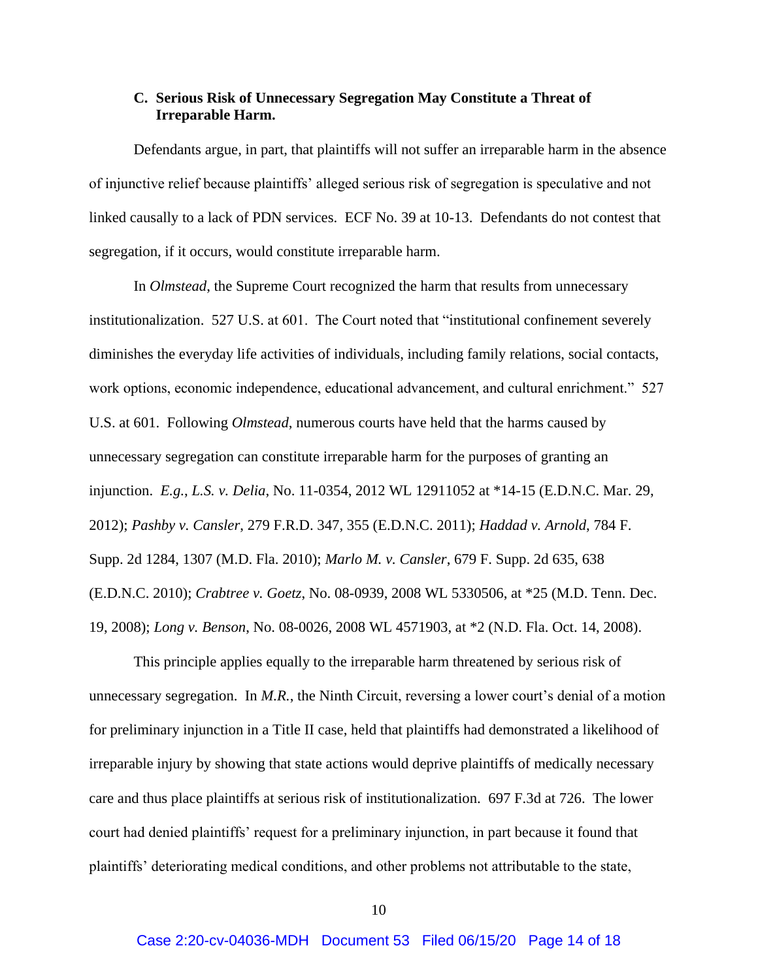### <span id="page-13-0"></span>**C. Serious Risk of Unnecessary Segregation May Constitute a Threat of Irreparable Harm.**

Defendants argue, in part, that plaintiffs will not suffer an irreparable harm in the absence of injunctive relief because plaintiffs' alleged serious risk of segregation is speculative and not linked causally to a lack of PDN services. ECF No. 39 at 10-13. Defendants do not contest that segregation, if it occurs, would constitute irreparable harm.

In *Olmstead*, the Supreme Court recognized the harm that results from unnecessary institutionalization. 527 U.S. at 601. The Court noted that "institutional confinement severely diminishes the everyday life activities of individuals, including family relations, social contacts, work options, economic independence, educational advancement, and cultural enrichment." 527 U.S. at 601. Following *Olmstead*, numerous courts have held that the harms caused by unnecessary segregation can constitute irreparable harm for the purposes of granting an injunction. *E.g.*, *L.S. v. Delia*, No. 11-0354, 2012 WL 12911052 at \*14-15 (E.D.N.C. Mar. 29, 2012); *Pashby v. Cansler*, 279 F.R.D. 347, 355 (E.D.N.C. 2011); *Haddad v. Arnold*, 784 F. Supp. 2d 1284, 1307 (M.D. Fla. 2010); *Marlo M. v. Cansler*, 679 F. Supp. 2d 635, 638 (E.D.N.C. 2010); *Crabtree v. Goetz*, No. 08-0939, 2008 WL 5330506, at \*25 (M.D. Tenn. Dec. 19, 2008); *Long v. Benson*, No. 08-0026, 2008 WL 4571903, at \*2 (N.D. Fla. Oct. 14, 2008).

This principle applies equally to the irreparable harm threatened by serious risk of unnecessary segregation. In *M.R.*, the Ninth Circuit, reversing a lower court's denial of a motion for preliminary injunction in a Title II case, held that plaintiffs had demonstrated a likelihood of irreparable injury by showing that state actions would deprive plaintiffs of medically necessary care and thus place plaintiffs at serious risk of institutionalization. 697 F.3d at 726. The lower court had denied plaintiffs' request for a preliminary injunction, in part because it found that plaintiffs' deteriorating medical conditions, and other problems not attributable to the state,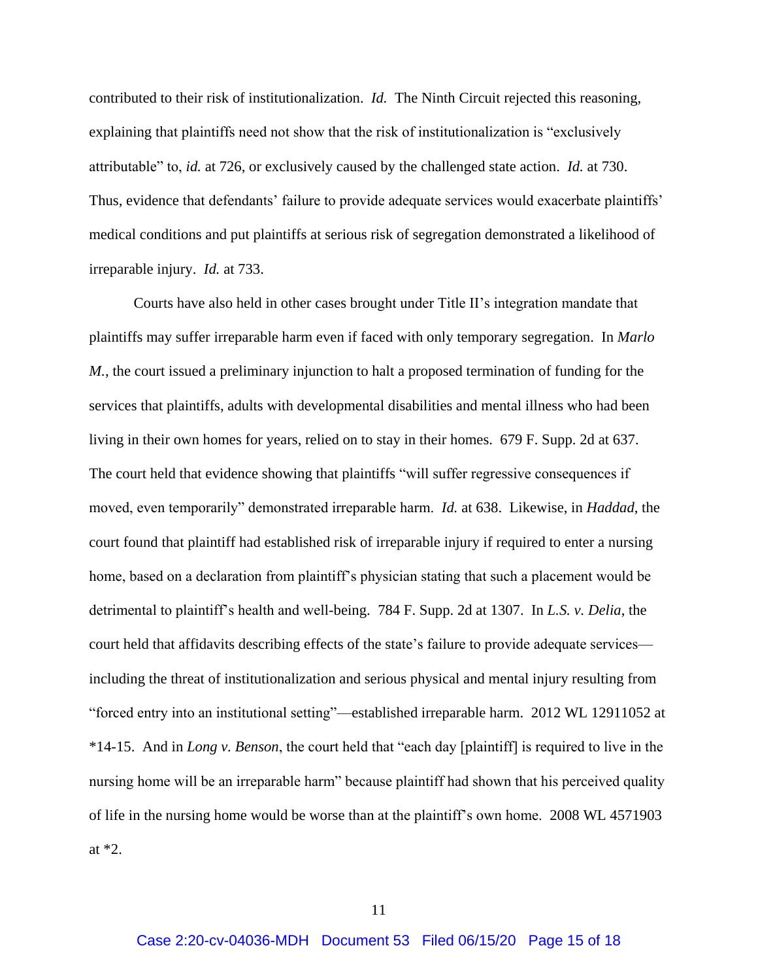contributed to their risk of institutionalization. *Id.* The Ninth Circuit rejected this reasoning, explaining that plaintiffs need not show that the risk of institutionalization is "exclusively attributable" to, *id.* at 726, or exclusively caused by the challenged state action. *Id.* at 730. Thus, evidence that defendants' failure to provide adequate services would exacerbate plaintiffs' medical conditions and put plaintiffs at serious risk of segregation demonstrated a likelihood of irreparable injury. *Id.* at 733.

Courts have also held in other cases brought under Title II's integration mandate that plaintiffs may suffer irreparable harm even if faced with only temporary segregation. In *Marlo M.*, the court issued a preliminary injunction to halt a proposed termination of funding for the services that plaintiffs, adults with developmental disabilities and mental illness who had been living in their own homes for years, relied on to stay in their homes. 679 F. Supp. 2d at 637. The court held that evidence showing that plaintiffs "will suffer regressive consequences if moved, even temporarily" demonstrated irreparable harm. *Id.* at 638. Likewise, in *Haddad*, the court found that plaintiff had established risk of irreparable injury if required to enter a nursing home, based on a declaration from plaintiff's physician stating that such a placement would be detrimental to plaintiff's health and well-being. 784 F. Supp. 2d at 1307. In *L.S. v. Delia*, the court held that affidavits describing effects of the state's failure to provide adequate services including the threat of institutionalization and serious physical and mental injury resulting from "forced entry into an institutional setting"—established irreparable harm. 2012 WL 12911052 at \*14-15. And in *Long v. Benson*, the court held that "each day [plaintiff] is required to live in the nursing home will be an irreparable harm" because plaintiff had shown that his perceived quality of life in the nursing home would be worse than at the plaintiff's own home. 2008 WL 4571903 at \*2.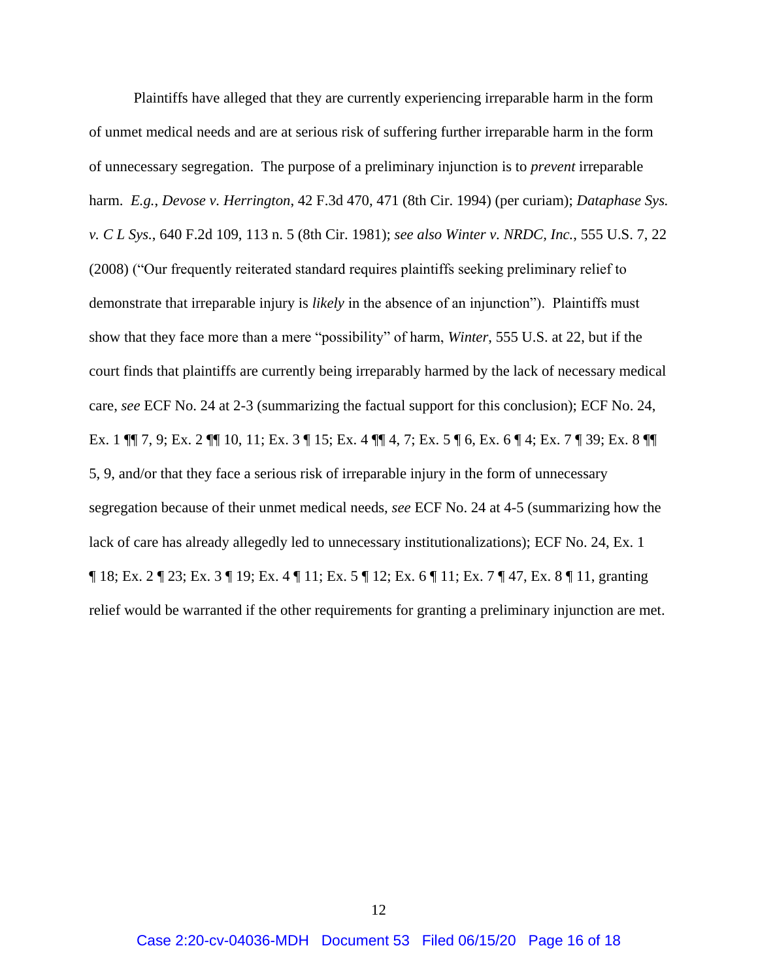Plaintiffs have alleged that they are currently experiencing irreparable harm in the form of unmet medical needs and are at serious risk of suffering further irreparable harm in the form of unnecessary segregation. The purpose of a preliminary injunction is to *prevent* irreparable harm. *E.g.*, *Devose v. Herrington*, 42 F.3d 470, 471 (8th Cir. 1994) (per curiam); *Dataphase Sys. v. C L Sys.*, 640 F.2d 109, 113 n. 5 (8th Cir. 1981); *see also Winter v. NRDC, Inc.*, 555 U.S. 7, 22 (2008) ("Our frequently reiterated standard requires plaintiffs seeking preliminary relief to demonstrate that irreparable injury is *likely* in the absence of an injunction"). Plaintiffs must show that they face more than a mere "possibility" of harm, *Winter*, 555 U.S. at 22, but if the court finds that plaintiffs are currently being irreparably harmed by the lack of necessary medical care, *see* ECF No. 24 at 2-3 (summarizing the factual support for this conclusion); ECF No. 24, Ex. 1 ¶¶ 7, 9; Ex. 2 ¶¶ 10, 11; Ex. 3 ¶ 15; Ex. 4 ¶¶ 4, 7; Ex. 5 ¶ 6, Ex. 6 ¶ 4; Ex. 7 ¶ 39; Ex. 8 ¶¶ 5, 9, and/or that they face a serious risk of irreparable injury in the form of unnecessary segregation because of their unmet medical needs, *see* ECF No. 24 at 4-5 (summarizing how the lack of care has already allegedly led to unnecessary institutionalizations); ECF No. 24, Ex. 1 ¶ 18; Ex. 2 ¶ 23; Ex. 3 ¶ 19; Ex. 4 ¶ 11; Ex. 5 ¶ 12; Ex. 6 ¶ 11; Ex. 7 ¶ 47, Ex. 8 ¶ 11, granting relief would be warranted if the other requirements for granting a preliminary injunction are met.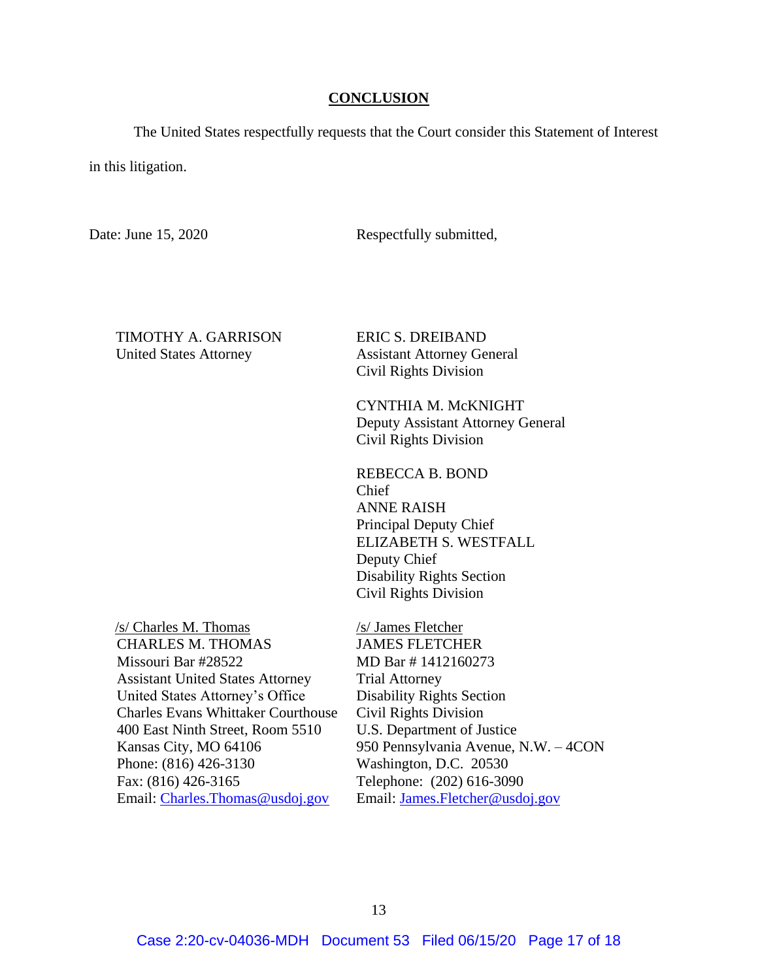#### **CONCLUSION**

<span id="page-16-0"></span>The United States respectfully requests that the Court consider this Statement of Interest

in this litigation.

Date: June 15, 2020 Respectfully submitted,

#### TIMOTHY A. GARRISON United States Attorney

ERIC S. DREIBAND Assistant Attorney General Civil Rights Division

CYNTHIA M. McKNIGHT Deputy Assistant Attorney General Civil Rights Division

REBECCA B. BOND Chief ANNE RAISH Principal Deputy Chief ELIZABETH S. WESTFALL Deputy Chief Disability Rights Section Civil Rights Division

 /s/ Charles M. Thomas CHARLES M. THOMAS Missouri Bar #28522 Assistant United States Attorney United States Attorney's Office Charles Evans Whittaker Courthouse 400 East Ninth Street, Room 5510 Kansas City, MO 64106 Phone: (816) 426-3130 Fax: (816) 426-3165 Email: [Charles.Thomas@usdoj.gov](mailto:Charles.Thomas@usdoj.gov)

 /s/ James Fletcher JAMES FLETCHER MD Bar # 1412160273 Trial Attorney Disability Rights Section Civil Rights Division U.S. Department of Justice 950 Pennsylvania Avenue, N.W. – 4CON Washington, D.C. 20530 Telephone: (202) 616-3090 Email: [James.Fletcher@usdoj.gov](mailto:James.Fletcher@usdoj.gov)